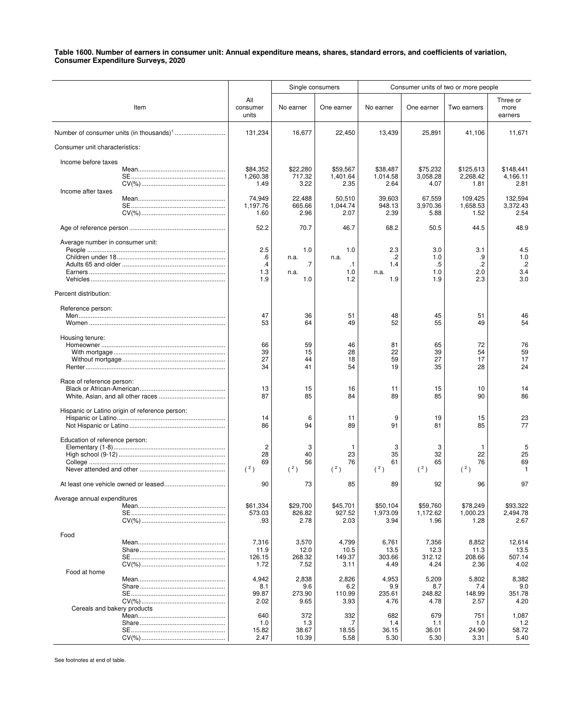|                                                |                          | Single consumers   |                      | Consumer units of two or more people |                      |                       |                             |
|------------------------------------------------|--------------------------|--------------------|----------------------|--------------------------------------|----------------------|-----------------------|-----------------------------|
| Item                                           | All<br>consumer<br>units | No earner          | One earner           | No earner                            | One earner           | Two earners           | Three or<br>more<br>earners |
|                                                | 131,234                  | 16,677             | 22,450               | 13,439                               | 25,891               | 41,106                | 11,671                      |
| Consumer unit characteristics:                 |                          |                    |                      |                                      |                      |                       |                             |
| Income before taxes                            |                          |                    |                      |                                      |                      |                       |                             |
|                                                | \$84,352<br>1,260.38     | \$22,280<br>717.32 | \$59,567<br>1,401.64 | \$38,487<br>1,014.58                 | \$75,232<br>3,058.28 | \$125,613<br>2,268.42 | \$148,441<br>4,166.11       |
|                                                | 1.49                     | 3.22               | 2.35                 | 2.64                                 | 4.07                 | 1.81                  | 2.81                        |
| Income after taxes                             | 74,949                   | 22,488             | 50,510               | 39,603                               | 67,559               | 109,425               | 132,594                     |
|                                                | 1,197.76<br>1.60         | 665.66<br>2.96     | 1,044.74<br>2.07     | 948.13<br>2.39                       | 3,970.36<br>5.88     | 1,658.53<br>1.52      | 3,372.43<br>2.54            |
|                                                | 52.2                     | 70.7               | 46.7                 | 68.2                                 | 50.5                 | 44.5                  | 48.9                        |
| Average number in consumer unit:               |                          |                    |                      |                                      |                      |                       |                             |
|                                                | 2.5<br>.6                | 1.0<br>n.a.        | 1.0<br>n.a.          | 2.3<br>.2                            | 3.0<br>1.0           | 3.1<br>.9             | 4.5<br>1.0                  |
|                                                | .4                       | .7                 | $\cdot$ 1            | 1.4                                  | .5                   | $\cdot$               | $\cdot$ .2                  |
|                                                | 1.3<br>1.9               | n.a.<br>1.0        | 1.0<br>1.2           | n.a.<br>1.9                          | 1.0<br>1.9           | 2.0<br>2.3            | 3.4<br>3.0                  |
| Percent distribution:                          |                          |                    |                      |                                      |                      |                       |                             |
| Reference person:                              |                          |                    |                      |                                      |                      |                       |                             |
|                                                | 47<br>53                 | 36<br>64           | 51<br>49             | 48<br>52                             | 45<br>55             | 51<br>49              | 46<br>54                    |
| Housing tenure:                                |                          |                    |                      |                                      |                      |                       |                             |
|                                                | 66<br>39                 | 59<br>15           | 46<br>28             | 81<br>22                             | 65<br>39             | 72<br>54              | 76<br>59                    |
|                                                | 27                       | 44                 | 18                   | 59                                   | 27                   | 17                    | 17                          |
|                                                | 34                       | 41                 | 54                   | 19                                   | 35                   | 28                    | 24                          |
| Race of reference person:                      | 13                       | 15                 | 16                   | 11                                   | 15                   | 10                    | 14                          |
|                                                | 87                       | 85                 | 84                   | 89                                   | 85                   | 90                    | 86                          |
| Hispanic or Latino origin of reference person: |                          |                    |                      |                                      |                      |                       |                             |
|                                                | 14<br>86                 | 6<br>94            | 11<br>89             | 9<br>91                              | 19<br>81             | 15<br>85              | 23<br>77                    |
| Education of reference person:                 |                          |                    |                      |                                      |                      |                       |                             |
|                                                | $\overline{c}$<br>28     | 3<br>40            | -1<br>23             | 3<br>35                              | 3<br>32              | $\mathbf{1}$<br>22    | 5<br>25                     |
|                                                | 69                       | 56                 | 76                   | 61                                   | 65                   | 76                    | 69                          |
|                                                | (2)                      | (2)                | (2)                  | (2)                                  | (2)                  | (2)                   | 1                           |
|                                                | 90                       | 73                 | 85                   | 89                                   | 92                   | 96                    | 97                          |
| Average annual expenditures                    | \$61,334                 | \$29,700           | \$45,701             | \$50,104                             | \$59,760             | \$78,249              | \$93,322                    |
|                                                | 573.03<br>.93            | 826.82<br>2.78     | 927.52<br>2.03       | 1,973.09<br>3.94                     | 1,172.62<br>1.96     | 1,000.23<br>1.28      | 2,494.78<br>2.67            |
| Food                                           |                          |                    |                      |                                      |                      |                       |                             |
|                                                | 7,316                    | 3,570              | 4,799                | 6,761                                | 7,356                | 8,852                 | 12,614                      |
|                                                | 11.9<br>126.15           | 12.0<br>268.32     | 10.5<br>149.37       | 13.5<br>303.66                       | 12.3<br>312.12       | 11.3<br>208.66        | 13.5<br>507.14              |
|                                                | 1.72                     | 7.52               | 3.11                 | 4.49                                 | 4.24                 | 2.36                  | 4.02                        |
| Food at home                                   | 4,942                    | 2,838              | 2,826                | 4,953                                | 5,209                | 5,802                 | 8,382                       |
|                                                | 8.1<br>99.87             | 9.6<br>273.90      | 6.2<br>110.99        | 9.9<br>235.61                        | 8.7<br>248.82        | 7.4<br>148.99         | 9.0<br>351.78               |
|                                                | 2.02                     | 9.65               | 3.93                 | 4.76                                 | 4.78                 | 2.57                  | 4.20                        |
| Cereals and bakery products                    | 640                      | 372                | 332                  | 682                                  | 679                  | 751                   | 1,087                       |
|                                                | 1.0<br>15.82             | 1.3<br>38.67       | .7<br>18.55          | 1.4<br>36.15                         | 1.1<br>36.01         | 1.0<br>24.90          | $1.2$<br>58.72              |
|                                                | 2.47                     | 10.39              | 5.58                 | 5.30                                 | 5.30                 | 3.31                  | 5.40                        |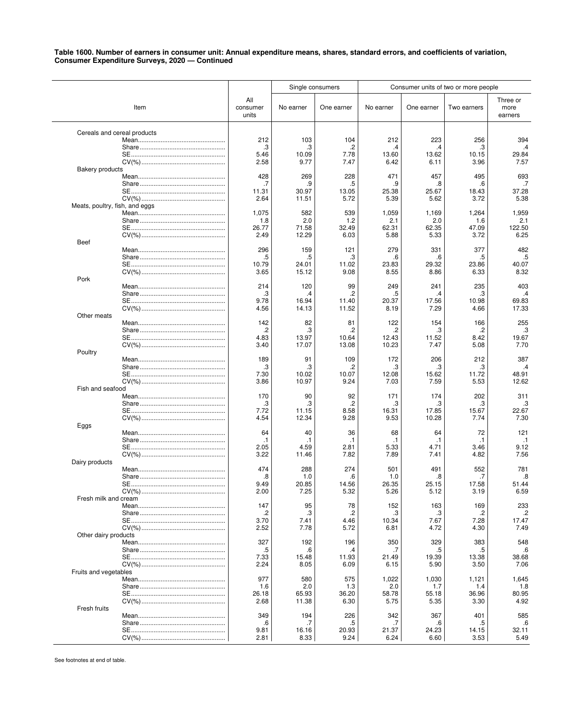|                                |                          | Single consumers |                | Consumer units of two or more people |                |               |                             |
|--------------------------------|--------------------------|------------------|----------------|--------------------------------------|----------------|---------------|-----------------------------|
| Item                           | All<br>consumer<br>units | No earner        | One earner     | No earner                            | One earner     | Two earners   | Three or<br>more<br>earners |
| Cereals and cereal products    |                          |                  |                |                                      |                |               |                             |
|                                | 212                      | 103              | 104            | 212                                  | 223            | 256           | 394                         |
|                                | .3                       | .3               | .2             | .4                                   | .4             | .3            | .4                          |
|                                | 5.46<br>2.58             | 10.09<br>9.77    | 7.78<br>7.47   | 13.60<br>6.42                        | 13.62<br>6.11  | 10.15<br>3.96 | 29.84<br>7.57               |
| <b>Bakery products</b>         |                          |                  |                |                                      |                |               |                             |
|                                | 428                      | 269              | 228            | 471                                  | 457            | 495           | 693                         |
|                                | .7                       |                  | .5             | .9                                   | .8             | .6            | .7                          |
|                                | 11.31                    | 30.97            | 13.05          | 25.38                                | 25.67          | 18.43         | 37.28                       |
| Meats, poultry, fish, and eggs | 2.64                     | 11.51            | 5.72           | 5.39                                 | 5.62           | 3.72          | 5.38                        |
|                                | 1,075                    | 582              | 539            | 1,059                                | 1,169          | 1,264         | 1,959                       |
|                                | 1.8                      | 2.0              | 1.2            | 2.1                                  | 2.0            | 1.6           | 2.1                         |
|                                | 26.77                    | 71.58            | 32.49          | 62.31                                | 62.35          | 47.09         | 122.50                      |
|                                | 2.49                     | 12.29            | 6.03           | 5.88                                 | 5.33           | 3.72          | 6.25                        |
| <b>Beef</b>                    | 296                      | 159              | 121            | 279                                  | 331            | 377           | 482                         |
|                                | .5                       | .5               | .3             | .6                                   | .6             | .5            | .5                          |
|                                | 10.79                    | 24.01            | 11.02          | 23.83                                | 29.32          | 23.86         | 40.07                       |
|                                | 3.65                     | 15.12            | 9.08           | 8.55                                 | 8.86           | 6.33          | 8.32                        |
| Pork                           |                          |                  |                |                                      |                |               | 403                         |
|                                | 214<br>.3                | 120<br>.4        | 99<br>.2       | 249<br>.5                            | 241<br>.4      | 235<br>.3     | $\cdot$                     |
|                                | 9.78                     | 16.94            | 11.40          | 20.37                                | 17.56          | 10.98         | 69.83                       |
|                                | 4.56                     | 14.13            | 11.52          | 8.19                                 | 7.29           | 4.66          | 17.33                       |
| Other meats                    |                          |                  |                |                                      |                |               |                             |
|                                | 142<br>$\cdot$           | 82<br>.3         | 81<br>.2       | 122<br>.2                            | 154<br>.3      | 166<br>.2     | 255<br>.3                   |
|                                | 4.83                     | 13.97            | 10.64          | 12.43                                | 11.52          | 8.42          | 19.67                       |
|                                | 3.40                     | 17.07            | 13.08          | 10.23                                | 7.47           | 5.08          | 7.70                        |
| Poultry                        |                          |                  |                |                                      |                |               |                             |
|                                | 189                      | 91               | 109            | 172                                  | 206            | 212           | 387                         |
|                                | .3                       | .3               | $\overline{c}$ | .3                                   | .3             | .3            | .4                          |
|                                | 7.30<br>3.86             | 10.02<br>10.97   | 10.07<br>9.24  | 12.08<br>7.03                        | 15.62<br>7.59  | 11.72<br>5.53 | 48.91<br>12.62              |
| Fish and seafood               |                          |                  |                |                                      |                |               |                             |
|                                | 170                      | 90               | 92             | 171                                  | 174            | 202           | 311                         |
|                                | .3                       | .3               | .2             | .3                                   | .3             | .3            | .3                          |
|                                | 7.72<br>4.54             | 11.15<br>12.34   | 8.58<br>9.28   | 16.31<br>9.53                        | 17.85<br>10.28 | 15.67<br>7.74 | 22.67<br>7.30               |
| Eggs                           |                          |                  |                |                                      |                |               |                             |
|                                | 64                       | 40               | 36             | 68                                   | 64             | 72            | 121                         |
|                                | $\cdot$ 1                | $\cdot$ 1        | $\cdot$ 1      | $\cdot$ 1                            | $\cdot$ 1      | .1            | $\cdot$ 1                   |
|                                | 2.05                     | 4.59             | 2.81           | 5.33                                 | 4.71           | 3.46          | 9.12                        |
| Dairy products                 | 3.22                     | 11.46            | 7.82           | 7.89                                 | 7.41           | 4.82          | 7.56                        |
|                                | 474                      | 288              | 274            | 501                                  | 491            | 552           | 781                         |
|                                | .8                       | 1.0              | .6             | 1.0                                  | 8.             | .7            | .8                          |
|                                | 9.49                     | 20.85            | 14.56          | 26.35                                | 25.15          | 17.58         | 51.44                       |
| Fresh milk and cream           | 2.00                     | 7.25             | 5.32           | 5.26                                 | 5.12           | 3.19          | 6.59                        |
|                                | 147                      | 95               | 78             | 152                                  | 163            | 169           | 233                         |
|                                | .2                       | .3               | .2             | .3                                   | .3             | .2            | $\cdot$                     |
|                                | 3.70                     | 7.41             | 4.46           | 10.34                                | 7.67           | 7.28          | 17.47                       |
|                                | 2.52                     | 7.78             | 5.72           | 6.81                                 | 4.72           | 4.30          | 7.49                        |
| Other dairy products           | 327                      | 192              | 196            | 350                                  | 329            | 383           | 548                         |
|                                | .5                       | .6               | .4             | .7                                   | .5             | .5            | .6                          |
|                                | 7.33                     | 15.48            | 11.93          | 21.49                                | 19.39          | 13.38         | 38.68                       |
|                                | 2.24                     | 8.05             | 6.09           | 6.15                                 | 5.90           | 3.50          | 7.06                        |
| Fruits and vegetables          |                          |                  |                |                                      |                |               |                             |
|                                | 977<br>1.6               | 580<br>2.0       | 575<br>1.3     | 1,022<br>2.0                         | 1,030<br>1.7   | 1,121<br>1.4  | 1,645<br>1.8                |
|                                | 26.18                    | 65.93            | 36.20          | 58.78                                | 55.18          | 36.96         | 80.95                       |
|                                | 2.68                     | 11.38            | 6.30           | 5.75                                 | 5.35           | 3.30          | 4.92                        |
| Fresh fruits                   |                          |                  |                |                                      |                |               |                             |
|                                | 349                      | 194              | 226            | 342                                  | 367            | 401           | 585                         |
|                                | .6<br>9.81               | .7<br>16.16      | .5<br>20.93    | .7<br>21.37                          | .6<br>24.23    | .5<br>14.15   | .6<br>32.11                 |
|                                | 2.81                     | 8.33             | 9.24           | 6.24                                 | 6.60           | 3.53          | 5.49                        |
|                                |                          |                  |                |                                      |                |               |                             |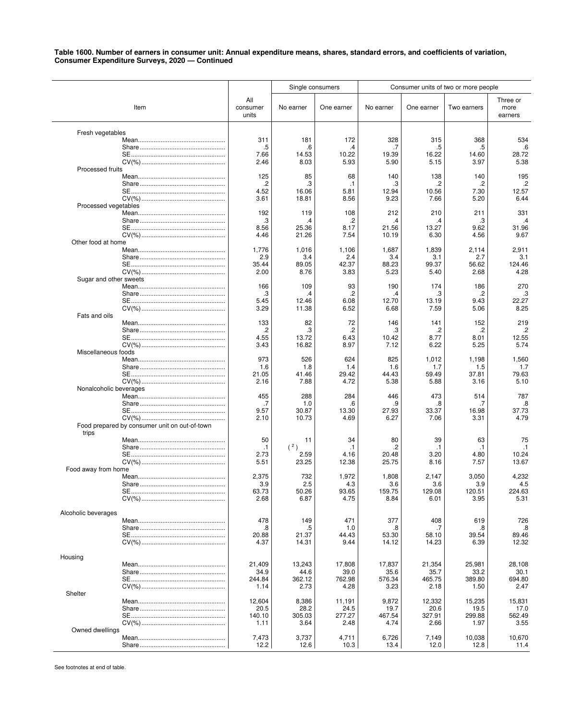|                        |                                               |                          | Single consumers |               |               |               | Consumer units of two or more people |                             |
|------------------------|-----------------------------------------------|--------------------------|------------------|---------------|---------------|---------------|--------------------------------------|-----------------------------|
|                        | Item                                          | All<br>consumer<br>units | No earner        | One earner    | No earner     | One earner    | Two earners                          | Three or<br>more<br>earners |
| Fresh vegetables       |                                               | 311                      | 181              | 172           | 328           | 315           | 368                                  | 534                         |
|                        |                                               | .5                       | .6               | .4            | .7            | .5            | .5                                   | .6                          |
| Processed fruits       |                                               | 7.66                     | 14.53            | 10.22         | 19.39         | 16.22         | 14.60                                | 28.72                       |
|                        |                                               | 2.46                     | 8.03             | 5.93          | 5.90          | 5.15          | 3.97                                 | 5.38                        |
|                        |                                               | 125                      | 85               | 68            | 140           | 138           | 140                                  | 195                         |
|                        |                                               | $\cdot$                  | .3               | $\cdot$ 1     | .3            | .2            | .2                                   | .2                          |
|                        |                                               | 4.52                     | 16.06            | 5.81          | 12.94         | 10.56         | 7.30                                 | 12.57                       |
|                        |                                               | 3.61                     | 18.81            | 8.56          | 9.23          | 7.66          | 5.20                                 | 6.44                        |
| Processed vegetables   |                                               | 192                      | 119              | 108           | 212           | 210           | 211                                  | 331                         |
|                        |                                               | .3                       | $\cdot^4$        | .2            | .4            | .4            | .3                                   | .4                          |
| Other food at home     |                                               | 8.56                     | 25.36            | 8.17          | 21.56         | 13.27         | 9.62                                 | 31.96                       |
|                        |                                               | 4.46                     | 21.26            | 7.54          | 10.19         | 6.30          | 4.56                                 | 9.67                        |
|                        |                                               | 1,776                    | 1,016            | 1,106         | 1,687         | 1,839         | 2,114                                | 2,911                       |
|                        |                                               | 2.9                      | 3.4              | 2.4           | 3.4           | 3.1           | 2.7                                  | 3.1                         |
|                        |                                               | 35.44                    | 89.05            | 42.37         | 88.23         | 99.37         | 56.62                                | 124.46                      |
|                        |                                               | 2.00                     | 8.76             | 3.83          | 5.23          | 5.40          | 2.68                                 | 4.28                        |
| Sugar and other sweets |                                               | 166                      | 109              | 93            | 190           | 174           | 186                                  | 270                         |
|                        |                                               | .3                       | .4               | .2            | .4            | .3            | .2                                   | .3                          |
| Fats and oils          |                                               | 5.45                     | 12.46            | 6.08          | 12.70         | 13.19         | 9.43                                 | 22.27                       |
|                        |                                               | 3.29                     | 11.38            | 6.52          | 6.68          | 7.59          | 5.06                                 | 8.25                        |
|                        |                                               | 133                      | 82               | 72            | 146           | 141           | 152                                  | 219                         |
| Miscellaneous foods    |                                               | .2                       | .3               | .2            | .3            | .2            | .2                                   | $\cdot$                     |
|                        |                                               | 4.55                     | 13.72            | 6.43          | 10.42         | 8.77          | 8.01                                 | 12.55                       |
|                        |                                               | 3.43                     | 16.82            | 8.97          | 7.12          | 6.22          | 5.25                                 | 5.74                        |
|                        |                                               | 973                      | 526              | 624           | 825           | 1,012         | 1,198                                | 1,560                       |
|                        |                                               | 1.6                      | 1.8              | 1.4           | 1.6           | 1.7           | 1.5                                  | 1.7                         |
|                        |                                               | 21.05                    | 41.46            | 29.42         | 44.43         | 59.49         | 37.81                                | 79.63                       |
|                        |                                               | 2.16                     | 7.88             | 4.72          | 5.38          | 5.88          | 3.16                                 | 5.10                        |
| Nonalcoholic beverages |                                               | 455                      | 288              | 284           | 446           | 473           | 514                                  | 787                         |
|                        |                                               | .7                       | 1.0              | .6            | .9            | .8            | .7                                   | .8                          |
| trips                  | Food prepared by consumer unit on out-of-town | 9.57<br>2.10             | 30.87<br>10.73   | 13.30<br>4.69 | 27.93<br>6.27 | 33.37<br>7.06 | 16.98<br>3.31                        | 37.73<br>4.79               |
|                        |                                               | 50                       | 11               | 34            | 80            | 39            | 63                                   | 75                          |
|                        |                                               | $\cdot$ 1                | (2)              | $\cdot$ 1     | .2            | $\cdot$ 1     | $\cdot$ 1                            | $\cdot$ 1                   |
|                        |                                               | 2.73                     | 2.59             | 4.16          | 20.48         | 3.20          | 4.80                                 | 10.24                       |
|                        |                                               | 5.51                     | 23.25            | 12.38         | 25.75         | 8.16          | 7.57                                 | 13.67                       |
| Food away from home    |                                               | 2,375                    | 732              | 1,972         | 1,808         | 2,147         | 3,050                                | 4,232                       |
|                        |                                               | 3.9                      | 2.5              | 4.3           | 3.6           | 3.6           | 3.9                                  | 4.5                         |
|                        |                                               | 63.73                    | 50.26            | 93.65         | 159.75        | 129.08        | 120.51                               | 224.63                      |
|                        |                                               | 2.68                     | 6.87             | 4.75          | 8.84          | 6.01          | 3.95                                 | 5.31                        |
| Alcoholic beverages    |                                               | 478                      | 149              | 471           | 377           | 408           | 619                                  | 726                         |
|                        |                                               | .8                       | .5               | 1.0           | .8            | .7            | .8                                   | .8                          |
|                        |                                               | 20.88                    | 21.37            | 44.43         | 53.30         | 58.10         | 39.54                                | 89.46                       |
|                        |                                               | 4.37                     | 14.31            | 9.44          | 14.12         | 14.23         | 6.39                                 | 12.32                       |
| Housing                |                                               | 21,409                   | 13,243           | 17,808        | 17,837        | 21,354        | 25,981                               | 28,108                      |
|                        |                                               | 34.9                     | 44.6             | 39.0          | 35.6          | 35.7          | 33.2                                 | 30.1                        |
|                        |                                               | 244.84                   | 362.12           | 762.98        | 576.34        | 465.75        | 389.80                               | 694.80                      |
|                        |                                               | 1.14                     | 2.73             | 4.28          | 3.23          | 2.18          | 1.50                                 | 2.47                        |
| Shelter                |                                               | 12,604                   | 8,386            | 11,191        | 9,872         | 12,332        | 15,235                               | 15,831                      |
|                        |                                               | 20.5                     | 28.2             | 24.5          | 19.7          | 20.6          | 19.5                                 | 17.0                        |
|                        |                                               | 140.10                   | 305.03           | 277.27        | 467.54        | 327.91        | 299.88                               | 562.49                      |
| Owned dwellings        |                                               | 1.11                     | 3.64             | 2.48          | 4.74          | 2.66          | 1.97                                 | 3.55                        |
|                        |                                               | 7,473                    | 3,737            | 4,711         | 6,726         | 7,149         | 10,038                               | 10,670                      |
|                        |                                               | 12.2                     | 12.6             | 10.3          | 13.4          | 12.0          | 12.8                                 | 11.4                        |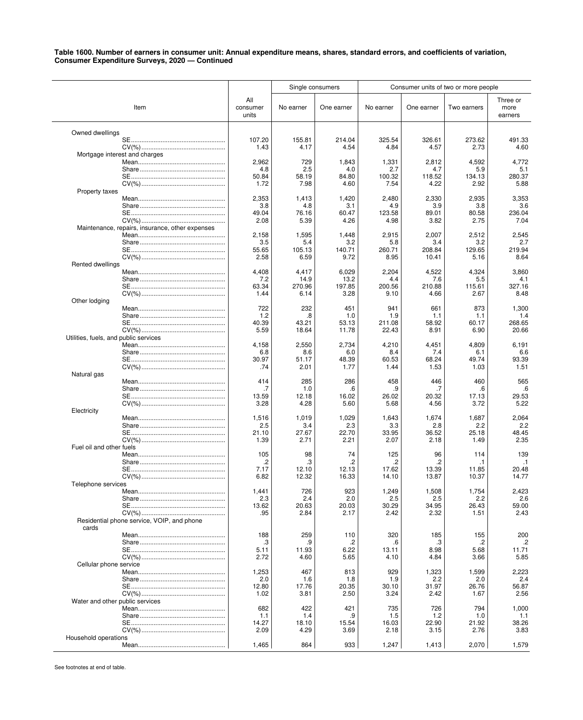|                                       |                                                 |                   | Single consumers |                |               |               | Consumer units of two or more people |                  |
|---------------------------------------|-------------------------------------------------|-------------------|------------------|----------------|---------------|---------------|--------------------------------------|------------------|
|                                       |                                                 | All               |                  |                |               |               |                                      | Three or         |
|                                       | Item                                            | consumer<br>units | No earner        | One earner     | No earner     | One earner    | Two earners                          | more<br>earners  |
| Owned dwellings                       |                                                 |                   |                  |                |               |               |                                      |                  |
|                                       |                                                 | 107.20            | 155.81           | 214.04         | 325.54        | 326.61        | 273.62                               | 491.33           |
|                                       |                                                 | 1.43              | 4.17             | 4.54           | 4.84          | 4.57          | 2.73                                 | 4.60             |
| Mortgage interest and charges         |                                                 | 2,962             | 729              | 1,843          | 1,331         | 2,812         | 4,592                                | 4,772            |
|                                       |                                                 | 4.8               | 2.5              | 4.0            | 2.7           | 4.7           | 5.9                                  | 5.1              |
|                                       |                                                 | 50.84             | 58.19            | 84.80          | 100.32        | 118.52        | 134.13                               | 280.37           |
| Property taxes                        |                                                 | 1.72              | 7.98             | 4.60           | 7.54          | 4.22          | 2.92                                 | 5.88             |
|                                       |                                                 | 2,353             | 1,413            | 1,420          | 2,480         | 2,330         | 2,935                                | 3.353            |
|                                       |                                                 | 3.8<br>49.04      | 4.8<br>76.16     | 3.1<br>60.47   | 4.9<br>123.58 | 3.9<br>89.01  | 3.8<br>80.58                         | 3.6<br>236.04    |
|                                       |                                                 | 2.08              | 5.39             | 4.26           | 4.98          | 3.82          | 2.75                                 | 7.04             |
|                                       | Maintenance, repairs, insurance, other expenses |                   |                  |                |               |               |                                      |                  |
|                                       |                                                 | 2,158<br>3.5      | 1,595<br>5.4     | 1,448<br>3.2   | 2,915<br>5.8  | 2,007<br>3.4  | 2,512<br>3.2                         | 2,545<br>2.7     |
|                                       |                                                 | 55.65             | 105.13           | 140.71         | 260.71        | 208.84        | 129.65                               | 219.94           |
|                                       |                                                 | 2.58              | 6.59             | 9.72           | 8.95          | 10.41         | 5.16                                 | 8.64             |
| Rented dwellings                      |                                                 | 4,408             | 4,417            | 6,029          | 2,204         | 4,522         | 4,324                                | 3,860            |
|                                       |                                                 | 7.2               | 14.9             | 13.2           | 4.4           | 7.6           | 5.5                                  | 4.1              |
|                                       |                                                 | 63.34             | 270.96           | 197.85         | 200.56        | 210.88        | 115.61                               | 327.16           |
| Other lodging                         |                                                 | 1.44              | 6.14             | 3.28           | 9.10          | 4.66          | 2.67                                 | 8.48             |
|                                       |                                                 | 722               | 232              | 451            | 941           | 661           | 873                                  | 1,300            |
|                                       |                                                 | 1.2<br>40.39      | .8<br>43.21      | 1.0            | 1.9<br>211.08 | 1.1<br>58.92  | 1.1<br>60.17                         | 1.4<br>268.65    |
|                                       |                                                 | 5.59              | 18.64            | 53.13<br>11.78 | 22.43         | 8.91          | 6.90                                 | 20.66            |
| Utilities, fuels, and public services |                                                 |                   |                  |                |               |               |                                      |                  |
|                                       |                                                 | 4,158<br>6.8      | 2,550<br>8.6     | 2,734<br>6.0   | 4,210<br>8.4  | 4,451<br>7.4  | 4,809<br>6.1                         | 6,191<br>6.6     |
|                                       |                                                 | 30.97             | 51.17            | 48.39          | 60.53         | 68.24         | 49.74                                | 93.39            |
|                                       |                                                 | .74               | 2.01             | 1.77           | 1.44          | 1.53          | 1.03                                 | 1.51             |
| Natural gas                           |                                                 | 414               | 285              | 286            | 458           | 446           | 460                                  | 565              |
|                                       |                                                 | .7                | 1.0              | .6             | .9            | .7            | .6                                   | .6               |
|                                       |                                                 | 13.59<br>3.28     | 12.18<br>4.28    | 16.02<br>5.60  | 26.02         | 20.32         | 17.13<br>3.72                        | 29.53<br>5.22    |
| Electricity                           |                                                 |                   |                  |                | 5.68          | 4.56          |                                      |                  |
|                                       |                                                 | 1,516             | 1,019            | 1,029          | 1,643         | 1,674         | 1,687                                | 2,064            |
|                                       |                                                 | 2.5<br>21.10      | 3.4<br>27.67     | 2.3<br>22.70   | 3.3<br>33.95  | 2.8<br>36.52  | 2.2<br>25.18                         | 2.2<br>48.45     |
|                                       |                                                 | 1.39              | 2.71             | 2.21           | 2.07          | 2.18          | 1.49                                 | 2.35             |
| Fuel oil and other fuels              |                                                 |                   |                  |                |               |               |                                      |                  |
|                                       |                                                 | 105<br>.2         | 98<br>.3         | 74<br>.2       | 125<br>.2     | 96<br>.2      | 114<br>.1                            | 139<br>$\cdot$ 1 |
|                                       |                                                 | 7.17              | 12.10            | 12.13          | 17.62         | 13.39         | 11.85                                | 20.48            |
|                                       |                                                 | 6.82              | 12.32            | 16.33          | 14.10         | 13.87         | 10.37                                | 14.77            |
| Telephone services                    |                                                 | 1,441             | 726              | 923            | 1,249         | 1,508         | 1,754                                | 2,423            |
|                                       |                                                 | 2.3               | 2.4              | 2.0            | 2.5           | 2.5           | 2.2                                  | 2.6              |
|                                       |                                                 | 13.62<br>.95      | 20.63<br>2.84    | 20.03<br>2.17  | 30.29<br>2.42 | 34.95<br>2.32 | 26.43<br>1.51                        | 59.00<br>2.43    |
| cards                                 | Residential phone service, VOIP, and phone      |                   |                  |                |               |               |                                      |                  |
|                                       |                                                 | 188               | 259              | 110            | 320           | 185           | 155                                  | 200              |
|                                       |                                                 | .3<br>5.11        | .9<br>11.93      | .2<br>6.22     | .6<br>13.11   | .3<br>8.98    | .2<br>5.68                           | .2<br>11.71      |
|                                       |                                                 | 2.72              | 4.60             | 5.65           | 4.10          | 4.84          | 3.66                                 | 5.85             |
| Cellular phone service                |                                                 |                   |                  |                |               |               |                                      |                  |
|                                       |                                                 | 1,253<br>2.0      | 467<br>1.6       | 813<br>1.8     | 929<br>1.9    | 1,323<br>2.2  | 1,599<br>2.0                         | 2,223<br>2.4     |
|                                       |                                                 | 12.80             | 17.76            | 20.35          | 30.10         | 31.97         | 26.76                                | 56.87            |
| Water and other public services       |                                                 | 1.02              | 3.81             | 2.50           | 3.24          | 2.42          | 1.67                                 | 2.56             |
|                                       |                                                 | 682               | 422              | 421            | 735           | 726           | 794                                  | 1,000            |
|                                       |                                                 | 1.1               | 1.4              | .9             | 1.5           | 1.2           | 1.0                                  | 1.1              |
|                                       |                                                 | 14.27<br>2.09     | 18.10<br>4.29    | 15.54<br>3.69  | 16.03<br>2.18 | 22.90<br>3.15 | 21.92<br>2.76                        | 38.26<br>3.83    |
| Household operations                  |                                                 |                   |                  |                |               |               |                                      |                  |
|                                       |                                                 | 1,465             | 864              | 933            | 1,247         | 1,413         | 2,070                                | 1,579            |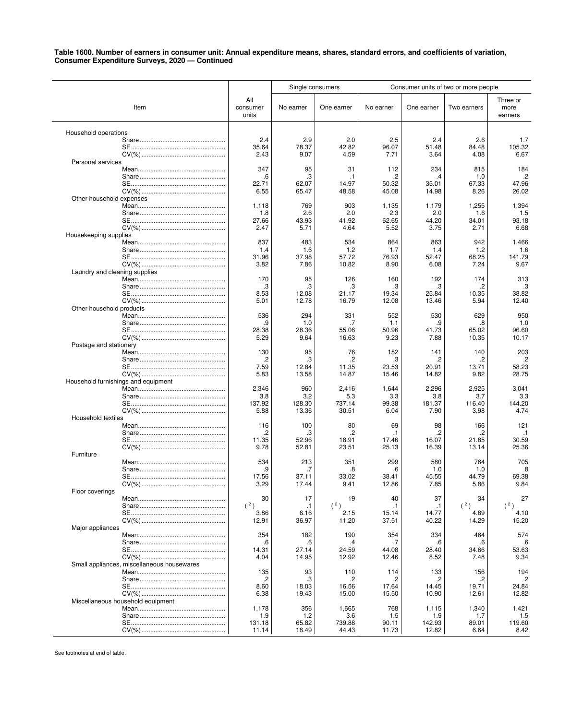|                                            |                          |                | Single consumers |                    |                         | Consumer units of two or more people |                             |
|--------------------------------------------|--------------------------|----------------|------------------|--------------------|-------------------------|--------------------------------------|-----------------------------|
| Item                                       | All<br>consumer<br>units | No earner      | One earner       | No earner          | One earner              | Two earners                          | Three or<br>more<br>earners |
| Household operations                       |                          |                |                  |                    |                         |                                      |                             |
|                                            | 2.4<br>35.64             | 2.9<br>78.37   | 2.0<br>42.82     | 2.5<br>96.07       | 2.4<br>51.48            | 2.6<br>84.48                         | 1.7<br>105.32               |
|                                            | 2.43                     | 9.07           | 4.59             | 7.71               | 3.64                    | 4.08                                 | 6.67                        |
| Personal services                          |                          |                |                  |                    |                         |                                      |                             |
|                                            | 347<br>.6                | 95<br>.3       | 31<br>.1         | 112<br>.2          | 234<br>.4               | 815<br>1.0                           | 184<br>.2                   |
|                                            | 22.71                    | 62.07          | 14.97            | 50.32              | 35.01                   | 67.33                                | 47.96                       |
| Other household expenses                   | 6.55                     | 65.47          | 48.58            | 45.08              | 14.98                   | 8.26                                 | 26.02                       |
|                                            | 1,118                    | 769            | 903              | 1,135              | 1,179                   | 1,255                                | 1,394                       |
|                                            | 1.8                      | 2.6            | 2.0              | 2.3                | 2.0                     | 1.6                                  | 1.5                         |
|                                            | 27.66<br>2.47            | 43.93<br>5.71  | 41.92<br>4.64    | 62.65<br>5.52      | 44.20<br>3.75           | 34.01<br>2.71                        | 93.18<br>6.68               |
| Housekeeping supplies                      |                          |                |                  |                    |                         |                                      |                             |
|                                            | 837<br>1.4               | 483            | 534              | 864                | 863                     | 942                                  | 1,466<br>1.6                |
|                                            | 31.96                    | 1.6<br>37.98   | 1.2<br>57.72     | 1.7<br>76.93       | 1.4<br>52.47            | 1.2<br>68.25                         | 141.79                      |
|                                            | 3.82                     | 7.86           | 10.82            | 8.90               | 6.08                    | 7.24                                 | 9.67                        |
| Laundry and cleaning supplies              | 170                      | 95             | 126              | 160                | 192                     | 174                                  | 313                         |
|                                            | .3                       | .3             | .3               | .3                 | .3                      | .2                                   | .3                          |
|                                            | 8.53                     | 12.08          | 21.17            | 19.34              | 25.84                   | 10.35                                | 38.82                       |
| Other household products                   | 5.01                     | 12.78          | 16.79            | 12.08              | 13.46                   | 5.94                                 | 12.40                       |
|                                            | 536                      | 294            | 331              | 552                | 530                     | 629                                  | 950                         |
|                                            | .9                       | 1.0            | .7               | 1.1                | .9                      | 8.                                   | 1.0                         |
|                                            | 28.38<br>5.29            | 28.36<br>9.64  | 55.06<br>16.63   | 50.96<br>9.23      | 41.73<br>7.88           | 65.02<br>10.35                       | 96.60<br>10.17              |
| Postage and stationery                     |                          |                |                  |                    |                         |                                      |                             |
|                                            | 130                      | 95             | 76               | 152                | 141                     | 140                                  | 203                         |
|                                            | .2<br>7.59               | .3<br>12.84    | .2<br>11.35      | .3<br>23.53        | .2<br>20.91             | .2<br>13.71                          | .2<br>58.23                 |
|                                            | 5.83                     | 13.58          | 14.87            | 15.46              | 14.82                   | 9.82                                 | 28.75                       |
| Household furnishings and equipment        | 2,346                    | 960            | 2,416            | 1,644              | 2,296                   | 2,925                                | 3,041                       |
|                                            | 3.8                      | 3.2            | 5.3              | 3.3                | 3.8                     | 3.7                                  | 3.3                         |
|                                            | 137.92                   | 128.30         | 737.14           | 99.38              | 181.37                  | 116.40                               | 144.20                      |
| Household textiles                         | 5.88                     | 13.36          | 30.51            | 6.04               | 7.90                    | 3.98                                 | 4.74                        |
|                                            | 116                      | 100            | 80               | 69                 | 98                      | 166                                  | 121                         |
|                                            | $\cdot$<br>11.35         | .3<br>52.96    | .2<br>18.91      | $\cdot$ 1<br>17.46 | $\overline{c}$<br>16.07 | .2<br>21.85                          | $\cdot$ 1<br>30.59          |
|                                            | 9.78                     | 52.81          | 23.51            | 25.13              | 16.39                   | 13.14                                | 25.36                       |
| Furniture                                  |                          |                |                  |                    |                         |                                      |                             |
|                                            | 534<br>.9                | 213<br>.7      | 351<br>.8        | 299<br>.6          | 580<br>1.0              | 764<br>1.0                           | 705<br>.8                   |
|                                            | 17.56                    | 37.11          | 33.02            | 38.41              | 45.55                   | 44.79                                | 69.38                       |
|                                            | 3.29                     | 17.44          | 9.41             | 12.86              | 7.85                    | 5.86                                 | 9.84                        |
| Floor coverings                            | 30                       | 17             | 19               | 40                 | 37                      | 34                                   | 27                          |
|                                            | (2)                      | $\cdot$ 1      | (2)              | $\cdot$ 1          | $\cdot$ 1               | (2)                                  | (2)                         |
|                                            | 3.86<br>12.91            | 6.16<br>36.97  | 2.15<br>11.20    | 15.14<br>37.51     | 14.77<br>40.22          | 4.89<br>14.29                        | 4.10<br>15.20               |
| Major appliances                           |                          |                |                  |                    |                         |                                      |                             |
|                                            | 354                      | 182            | 190              | 354                | 334                     | 464                                  | 574                         |
|                                            | .6<br>14.31              | .6<br>27.14    | .4<br>24.59      | .7<br>44.08        | .6<br>28.40             | .6<br>34.66                          | .6<br>53.63                 |
|                                            | 4.04                     | 14.95          | 12.92            | 12.46              | 8.52                    | 7.48                                 | 9.34                        |
| Small appliances, miscellaneous housewares | 135                      | 93             | 110              | 114                | 133                     | 156                                  | 194                         |
|                                            | .2                       | .3             | .2               | .2                 | .2                      | .2                                   | .2                          |
|                                            | 8.60                     | 18.03          | 16.56            | 17.64              | 14.45                   | 19.71                                | 24.84                       |
| Miscellaneous household equipment          | 6.38                     | 19.43          | 15.00            | 15.50              | 10.90                   | 12.61                                | 12.82                       |
|                                            | 1,178                    | 356            | 1,665            | 768                | 1,115                   | 1,340                                | 1,421                       |
|                                            | 1.9                      | 1.2            | 3.6              | 1.5                | 1.9                     | 1.7                                  | 1.5                         |
|                                            | 131.18<br>11.14          | 65.82<br>18.49 | 739.88<br>44.43  | 90.11<br>11.73     | 142.93<br>12.82         | 89.01<br>6.64                        | 119.60<br>8.42              |
|                                            |                          |                |                  |                    |                         |                                      |                             |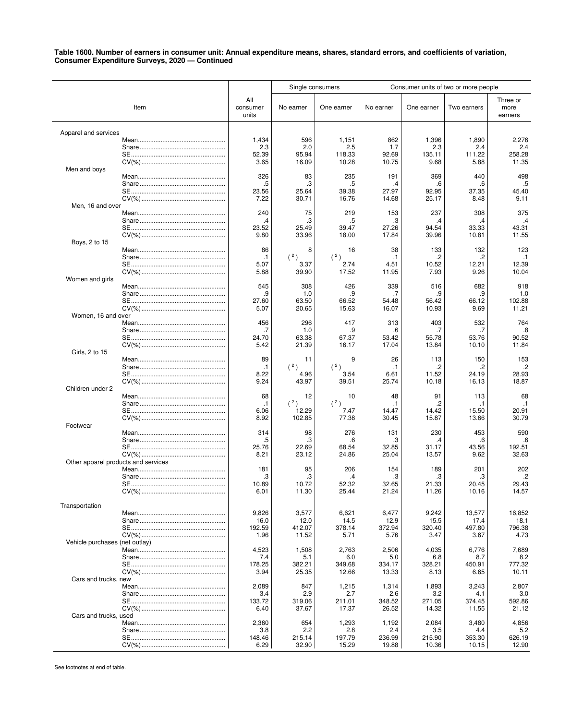|                                     |      |                                    | Single consumers                     |                                      | Consumer units of two or more people |                                      |                                     |                                       |
|-------------------------------------|------|------------------------------------|--------------------------------------|--------------------------------------|--------------------------------------|--------------------------------------|-------------------------------------|---------------------------------------|
|                                     | Item | All<br>consumer<br>units           | No earner                            | One earner                           | No earner                            | One earner                           | Two earners                         | Three or<br>more<br>earners           |
| Apparel and services                |      | 1,434                              | 596                                  | 1,151                                | 862                                  | 1,396                                | 1,890                               | 2,276                                 |
|                                     |      | 2.3                                | 2.0                                  | 2.5                                  | 1.7                                  | 2.3                                  | 2.4                                 | 2.4                                   |
| Men and boys                        |      | 52.39                              | 95.94                                | 118.33                               | 92.69                                | 135.11                               | 111.22                              | 258.28                                |
|                                     |      | 3.65                               | 16.09                                | 10.28                                | 10.75                                | 9.68                                 | 5.88                                | 11.35                                 |
|                                     |      | 326                                | 83                                   | 235                                  | 191                                  | 369                                  | 440                                 | 498                                   |
|                                     |      | .5                                 | .3                                   | .5                                   | .4                                   | .6                                   | .6                                  | .5                                    |
|                                     |      | 23.56                              | 25.64                                | 39.38                                | 27.97                                | 92.95                                | 37.35                               | 45.40                                 |
|                                     |      | 7.22                               | 30.71                                | 16.76                                | 14.68                                | 25.17                                | 8.48                                | 9.11                                  |
| Men, 16 and over                    |      | 240                                | 75                                   | 219                                  | 153                                  | 237                                  | 308                                 | 375                                   |
|                                     |      | $\cdot$                            | .3                                   | .5                                   | .3                                   | .4                                   | .4                                  | $\cdot$                               |
|                                     |      | 23.52                              | 25.49                                | 39.47                                | 27.26                                | 94.54                                | 33.33                               | 43.31                                 |
| Boys, 2 to 15                       |      | 9.80                               | 33.96                                | 18.00                                | 17.84                                | 39.96                                | 10.81                               | 11.55                                 |
|                                     |      | 86                                 | 8                                    | 16                                   | 38                                   | 133                                  | 132                                 | 123                                   |
|                                     |      | $\cdot$ 1                          | (2)                                  | (2)                                  | .1                                   | .2                                   | .2                                  | $\cdot$ 1                             |
|                                     |      | 5.07                               | 3.37                                 | 2.74                                 | 4.51                                 | 10.52                                | 12.21                               | 12.39                                 |
|                                     |      | 5.88                               | 39.90                                | 17.52                                | 11.95                                | 7.93                                 | 9.26                                | 10.04                                 |
| Women and girls                     |      | 545                                | 308                                  | 426                                  | 339                                  | 516                                  | 682                                 | 918                                   |
|                                     |      | .9                                 | 1.0                                  | .9                                   | .7                                   | .9                                   | .9                                  | 1.0                                   |
|                                     |      | 27.60                              | 63.50                                | 66.52                                | 54.48                                | 56.42                                | 66.12                               | 102.88                                |
|                                     |      | 5.07                               | 20.65                                | 15.63                                | 16.07                                | 10.93                                | 9.69                                | 11.21                                 |
| Women, 16 and over                  |      | 456                                | 296                                  | 417                                  | 313                                  | 403                                  | 532                                 | 764                                   |
|                                     |      | .7                                 | 1.0                                  | .9                                   | .6                                   | .7                                   | .7                                  | .8                                    |
|                                     |      | 24.70                              | 63.38                                | 67.37                                | 53.42                                | 55.78                                | 53.76                               | 90.52                                 |
|                                     |      | 5.42                               | 21.39                                | 16.17                                | 17.04                                | 13.84                                | 10.10                               | 11.84                                 |
| Girls, 2 to 15                      |      | 89                                 | 11                                   | 9                                    | 26                                   | 113                                  | 150                                 | 153                                   |
|                                     |      | $\cdot$ 1                          | (2)                                  | (2)                                  | .1                                   | .2                                   | .2                                  | $\cdot$                               |
|                                     |      | 8.22                               | 4.96                                 | 3.54                                 | 6.61                                 | 11.52                                | 24.19                               | 28.93                                 |
| Children under 2                    |      | 9.24                               | 43.97                                | 39.51                                | 25.74                                | 10.18                                | 16.13                               | 18.87                                 |
|                                     |      | 68                                 | 12                                   | 10                                   | 48                                   | 91                                   | 113                                 | 68                                    |
|                                     |      | $\cdot$ 1                          | (2)                                  | (2)                                  | .1                                   | .2                                   | .1                                  | $\cdot$ 1                             |
|                                     |      | 6.06                               | 12.29                                | 7.47                                 | 14.47                                | 14.42                                | 15.50                               | 20.91                                 |
| Footwear                            |      | 8.92<br>314<br>.5<br>25.76<br>8.21 | 102.85<br>98<br>.3<br>22.69<br>23.12 | 77.38<br>276<br>.6<br>68.54          | 30.45<br>131<br>.3<br>32.85<br>25.04 | 15.87<br>230<br>.4<br>31.17          | 13.66<br>453<br>.6<br>43.56<br>9.62 | 30.79<br>590<br>.6<br>192.51<br>32.63 |
| Other apparel products and services |      | 181<br>.3<br>10.89<br>6.01         | 95<br>.3<br>10.72<br>11.30           | 24.86<br>206<br>.4<br>52.32<br>25.44 | 154<br>.3<br>32.65<br>21.24          | 13.57<br>189<br>.3<br>21.33<br>11.26 | 201<br>.3<br>20.45<br>10.16         | 202<br>.2<br>29.43<br>14.57           |
| Transportation                      |      | 9,826                              | 3,577                                | 6,621                                | 6,477                                | 9,242                                | 13,577                              | 16,852                                |
|                                     |      | 16.0                               | 12.0                                 | 14.5                                 | 12.9                                 | 15.5                                 | 17.4                                | 18.1                                  |
|                                     |      | 192.59                             | 412.07                               | 378.14                               | 372.94                               | 320.40                               | 497.80                              | 796.38                                |
|                                     |      | 1.96                               | 11.52                                | 5.71                                 | 5.76                                 | 3.47                                 | 3.67                                | 4.73                                  |
| Vehicle purchases (net outlay)      |      | 4,523                              | 1,508                                | 2,763                                | 2,506                                | 4,035                                | 6,776                               | 7,689                                 |
|                                     |      | 7.4                                | 5.1                                  | 6.0                                  | 5.0                                  | 6.8                                  | 8.7                                 | 8.2                                   |
|                                     |      | 178.25                             | 382.21                               | 349.68                               | 334.17                               | 328.21                               | 450.91                              | 777.32                                |
|                                     |      | 3.94                               | 25.35                                | 12.66                                | 13.33                                | 8.13                                 | 6.65                                | 10.11                                 |
| Cars and trucks, new                |      | 2,089                              | 847                                  | 1,215                                | 1,314                                | 1,893                                | 3,243                               | 2,807                                 |
|                                     |      | 3.4                                | 2.9                                  | 2.7                                  | 2.6                                  | 3.2                                  | 4.1                                 | 3.0                                   |
|                                     |      | 133.72                             | 319.06                               | 211.01                               | 348.52                               | 271.05                               | 374.45                              | 592.86                                |
|                                     |      | 6.40                               | 37.67                                | 17.37                                | 26.52                                | 14.32                                | 11.55                               | 21.12                                 |
| Cars and trucks, used               |      | 2,360                              | 654                                  | 1,293                                | 1,192                                | 2,084                                | 3,480                               | 4,856                                 |
|                                     |      | 3.8                                | 2.2                                  | 2.8                                  | 2.4                                  | 3.5                                  | 4.4                                 | 5.2                                   |
|                                     |      | 148.46                             | 215.14                               | 197.79                               | 236.99                               | 215.90                               | 353.30                              | 626.19                                |
|                                     |      | 6.29                               | 32.90                                | 15.29                                | 19.88                                | 10.36                                | 10.15                               | 12.90                                 |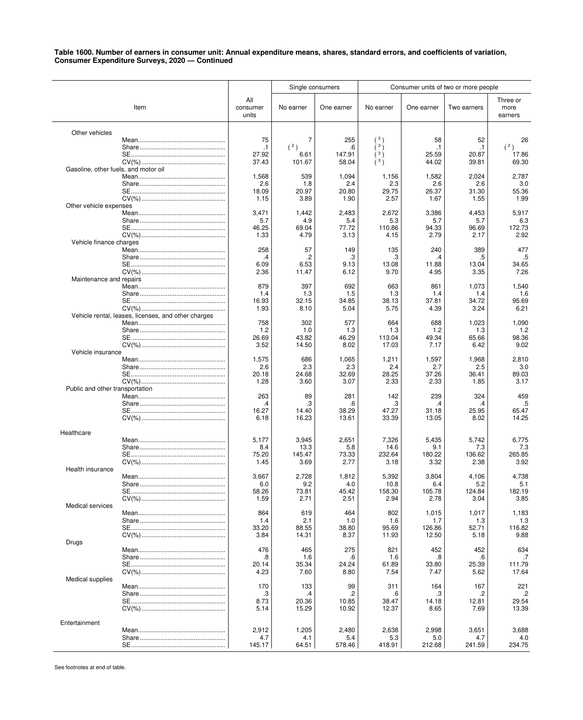|                                      |                                                     |                          | Single consumers   |                    |                    |                    | Consumer units of two or more people |                             |
|--------------------------------------|-----------------------------------------------------|--------------------------|--------------------|--------------------|--------------------|--------------------|--------------------------------------|-----------------------------|
|                                      | Item                                                | All<br>consumer<br>units | No earner          | One earner         | No earner          | One earner         | Two earners                          | Three or<br>more<br>earners |
| Other vehicles                       |                                                     | 75                       | 7                  | 255                | 3 <sub>1</sub>     | 58                 | 52                                   | 26                          |
|                                      |                                                     | $\cdot$ 1                | (2)                | .6                 | 3 <sub>1</sub>     | $\cdot$ 1          | $\cdot$ 1                            | (2)                         |
| Gasoline, other fuels, and motor oil |                                                     | 27.92<br>37.43           | 6.61<br>101.67     | 147.91<br>58.04    | 3 <sub>1</sub>     | 25.59<br>44.02     | 20.87<br>39.81                       | 17.86<br>69.30              |
|                                      |                                                     | 1,568                    | 539                | 1,094              | 1,156              | 1,582              | 2,024                                | 2,787                       |
|                                      |                                                     | 2.6                      | 1.8                | 2.4                | 2.3                | 2.6                | 2.6                                  | 3.0                         |
|                                      |                                                     | 18.09                    | 20.97              | 20.80              | 29.75              | 26.37              | 31.30                                | 55.36                       |
|                                      |                                                     | 1.15                     | 3.89               | 1.90               | 2.57               | 1.67               | 1.55                                 | 1.99                        |
| Other vehicle expenses               |                                                     | 3,471                    | 1,442              | 2,483              | 2,672              | 3,386              | 4,453                                | 5,917                       |
|                                      |                                                     | 5.7                      | 4.9                | 5.4                | 5.3                | 5.7                | 5.7                                  | 6.3                         |
| Vehicle finance charges              |                                                     | 46.25                    | 69.04              | 77.72              | 110.86             | 94.33              | 96.69                                | 172.73                      |
|                                      |                                                     | 1.33                     | 4.79               | 3.13               | 4.15               | 2.79               | 2.17                                 | 2.92                        |
|                                      |                                                     | 258                      | 57                 | 149                | 135                | 240                | 389                                  | 477                         |
|                                      |                                                     | $\cdot$                  | .2                 | .3                 | .3                 | .4                 | .5                                   | .5                          |
|                                      |                                                     | 6.09                     | 6.53               | 9.13               | 13.08              | 11.88              | 13.04                                | 34.65                       |
|                                      |                                                     | 2.36                     | 11.47              | 6.12               | 9.70               | 4.95               | 3.35                                 | 7.26                        |
| Maintenance and repairs              |                                                     | 879                      | 397                | 692                | 663                | 861                | 1,073                                | 1,540                       |
|                                      |                                                     | 1.4                      | 1.3                | 1.5                | 1.3                | 1.4                | 1.4                                  | 1.6                         |
|                                      |                                                     | 16.93                    | 32.15              | 34.85              | 38.13              | 37.81              | 34.72                                | 95.69                       |
|                                      | Vehicle rental, leases, licenses, and other charges | 1.93<br>758<br>1.2       | 8.10<br>302<br>1.0 | 5.04<br>577<br>1.3 | 5.75<br>664<br>1.3 | 4.39<br>688<br>1.2 | 3.24<br>1,023<br>1.3                 | 6.21<br>1,090<br>1.2        |
| Vehicle insurance                    |                                                     | 26.69                    | 43.82              | 46.29              | 113.04             | 49.34              | 65.66                                | 98.36                       |
|                                      |                                                     | 3.52                     | 14.50              | 8.02               | 17.03              | 7.17               | 6.42                                 | 9.02                        |
|                                      |                                                     | 1,575                    | 686                | 1,065              | 1,211              | 1,597              | 1,968                                | 2,810                       |
|                                      |                                                     | 2.6                      | 2.3                | 2.3                | 2.4                | 2.7                | 2.5                                  | 3.0                         |
|                                      |                                                     | 20.18                    | 24.68              | 32.69              | 28.25              | 37.26              | 36.41                                | 89.03                       |
|                                      |                                                     | 1.28                     | 3.60               | 3.07               | 2.33               | 2.33               | 1.85                                 | 3.17                        |
| Public and other transportation      |                                                     | 263                      | 89                 | 281                | 142                | 239                | 324                                  | 459                         |
|                                      |                                                     | $\cdot$                  | .3                 | .6                 | .3                 | .4                 | .4                                   | .5                          |
|                                      |                                                     | 16.27                    | 14.40              | 38.29              | 47.27              | 31.18              | 25.95                                | 65.47                       |
|                                      |                                                     | 6.18                     | 16.23              | 13.61              | 33.39              | 13.05              | 8.02                                 | 14.25                       |
| Healthcare                           |                                                     |                          |                    |                    |                    |                    |                                      |                             |
|                                      |                                                     | 5,177                    | 3,945              | 2,651              | 7,326              | 5,435              | 5,742                                | 6,775                       |
|                                      |                                                     | 8.4                      | 13.3               | 5.8                | 14.6               | 9.1                | 7.3                                  | 7.3                         |
|                                      |                                                     | 75.20                    | 145.47             | 73.33              | 232.64             | 180.22             | 136.62                               | 265.85                      |
|                                      |                                                     | 1.45                     | 3.69               | 2.77               | 3.18               | 3.32               | 2.38                                 | 3.92                        |
| Health insurance                     |                                                     | 3,667                    | 2,728              | 1,812              | 5,392              | 3,804              | 4,106                                | 4,738                       |
|                                      |                                                     | b.U                      | 9.2                | 4.0                | 10.8               | 6.4                | 5.2                                  | 5.1                         |
|                                      |                                                     | 58.26                    | 73.81              | 45.42              | 158.30             | 105.78             | 124.84                               | 182.19                      |
|                                      |                                                     | 1.59                     | 2.71               | 2.51               | 2.94               | 2.78               | 3.04                                 | 3.85                        |
| Medical services                     |                                                     | 864                      | 619                | 464                | 802                | 1,015              | 1,017                                | 1,183                       |
|                                      |                                                     | 1.4                      | 2.1                | 1.0                | 1.6                | 1.7                | 1.3                                  | 1.3                         |
|                                      |                                                     | 33.20                    | 88.55              | 38.80              | 95.69              | 126.86             | 52.71                                | 116.82                      |
| Drugs                                |                                                     | 3.84                     | 14.31              | 8.37               | 11.93              | 12.50              | 5.18                                 | 9.88                        |
|                                      |                                                     | 476                      | 465                | 275                | 821                | 452                | 452                                  | 634                         |
| Medical supplies                     |                                                     | .8                       | 1.6                | .6                 | 1.6                | .8                 | .6                                   | .7                          |
|                                      |                                                     | 20.14                    | 35.34              | 24.24              | 61.89              | 33.80              | 25.39                                | 111.79                      |
|                                      |                                                     | 4.23                     | 7.60               | 8.80               | 7.54               | 7.47               | 5.62                                 | 17.64                       |
|                                      |                                                     | 170                      | 133                | 99                 | 311                | 164                | 167                                  | 221                         |
|                                      |                                                     | .3                       | .4                 | .2                 | .6                 | .3                 | .2                                   | .2                          |
|                                      |                                                     | 8.73                     | 20.36              | 10.85              | 38.47              | 14.18              | 12.81                                | 29.54                       |
|                                      |                                                     | 5.14                     | 15.29              | 10.92              | 12.37              | 8.65               | 7.69                                 | 13.39                       |
| Entertainment                        |                                                     | 2,912                    | 1,205              | 2,480              | 2,638              | 2,998              | 3,651                                | 3,688                       |
|                                      |                                                     | 4.7                      | 4.1                | 5.4                | 5.3                | 5.0                | 4.7                                  | 4.0                         |
|                                      |                                                     | 145.17                   | 64.51              | 578.46             | 418.91             | 212.68             | 241.59                               | 234.75                      |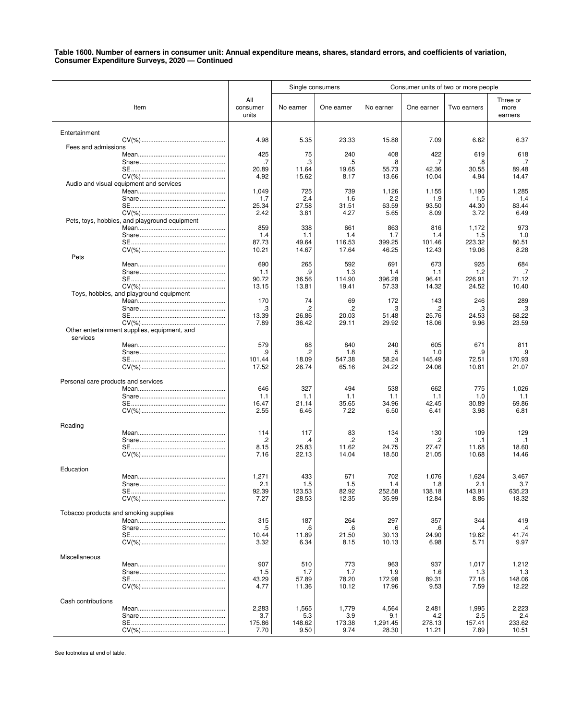|                                     |                                               |                          | Single consumers |                 |                   |                 | Consumer units of two or more people |                             |
|-------------------------------------|-----------------------------------------------|--------------------------|------------------|-----------------|-------------------|-----------------|--------------------------------------|-----------------------------|
|                                     | Item                                          | All<br>consumer<br>units | No earner        | One earner      | No earner         | One earner      | Two earners                          | Three or<br>more<br>earners |
| Entertainment                       |                                               |                          |                  |                 |                   |                 |                                      |                             |
|                                     |                                               | 4.98                     | 5.35             | 23.33           | 15.88             | 7.09            | 6.62                                 | 6.37                        |
| Fees and admissions                 |                                               | 425                      | 75               | 240             | 408               | 422             | 619                                  | 618                         |
|                                     |                                               | .7                       | .3               | .5              | .8                | .7              | .8                                   | .7                          |
|                                     |                                               | 20.89                    | 11.64            | 19.65           | 55.73             | 42.36           | 30.55                                | 89.48                       |
|                                     |                                               | 4.92                     | 15.62            | 8.17            | 13.66             | 10.04           | 4.94                                 | 14.47                       |
|                                     | Audio and visual equipment and services       |                          |                  |                 |                   |                 |                                      |                             |
|                                     |                                               | 1,049<br>1.7             | 725<br>2.4       | 739<br>1.6      | 1,126<br>2.2      | 1,155<br>1.9    | 1,190<br>1.5                         | 1,285<br>1.4                |
|                                     |                                               | 25.34                    | 27.58            | 31.51           | 63.59             | 93.50           | 44.30                                | 83.44                       |
|                                     |                                               | 2.42                     | 3.81             | 4.27            | 5.65              | 8.09            | 3.72                                 | 6.49                        |
|                                     | Pets, toys, hobbies, and playground equipment |                          |                  |                 |                   |                 |                                      |                             |
|                                     |                                               | 859                      | 338              | 661             | 863               | 816             | 1,172                                | 973                         |
|                                     |                                               | 1.4                      | 1.1              | 1.4             | 1.7               | 1.4             | 1.5                                  | 1.0                         |
|                                     |                                               | 87.73<br>10.21           | 49.64<br>14.67   | 116.53<br>17.64 | 399.25<br>46.25   | 101.46<br>12.43 | 223.32<br>19.06                      | 80.51<br>8.28               |
| Pets                                |                                               |                          |                  |                 |                   |                 |                                      |                             |
|                                     |                                               | 690                      | 265              | 592             | 691               | 673             | 925                                  | 684                         |
|                                     |                                               | 1.1                      | .9               | 1.3             | 1.4               | 1.1             | 1.2                                  | .7                          |
|                                     |                                               | 90.72                    | 36.56            | 114.90          | 396.28            | 96.41           | 226.91                               | 71.12                       |
|                                     |                                               | 13.15                    | 13.81            | 19.41           | 57.33             | 14.32           | 24.52                                | 10.40                       |
|                                     | Toys, hobbies, and playground equipment       | 170                      | 74               | 69              | 172               | 143             | 246                                  | 289                         |
|                                     |                                               | .3                       | .2               | .2              | .3                | .2              | .3                                   | .3                          |
|                                     |                                               | 13.39                    | 26.86            | 20.03           | 51.48             | 25.76           | 24.53                                | 68.22                       |
|                                     |                                               | 7.89                     | 36.42            | 29.11           | 29.92             | 18.06           | 9.96                                 | 23.59                       |
| services                            | Other entertainment supplies, equipment, and  |                          |                  |                 |                   |                 |                                      |                             |
|                                     |                                               | 579                      | 68               | 840             | 240               | 605             | 671                                  | 811                         |
|                                     |                                               | .9                       | .2               | 1.8             | .5                | 1.0             | .9                                   | .9                          |
|                                     |                                               | 101.44<br>17.52          | 18.09<br>26.74   | 547.38<br>65.16 | 58.24<br>24.22    | 145.49<br>24.06 | 72.51<br>10.81                       | 170.93<br>21.07             |
| Personal care products and services |                                               |                          |                  |                 |                   |                 |                                      |                             |
|                                     |                                               | 646                      | 327              | 494             | 538               | 662             | 775                                  | 1,026                       |
|                                     |                                               | 1.1                      | 1.1              | 1.1             | 1.1               | 1.1             | 1.0                                  | 1.1                         |
|                                     |                                               | 16.47                    | 21.14            | 35.65           | 34.96             | 42.45           | 30.89                                | 69.86                       |
|                                     |                                               | 2.55                     | 6.46             | 7.22            | 6.50              | 6.41            | 3.98                                 | 6.81                        |
| Reading                             |                                               |                          |                  |                 |                   |                 |                                      |                             |
|                                     |                                               | 114                      | 117              | 83              | 134               | 130             | 109                                  | 129                         |
|                                     |                                               | .2                       | .4               | .2              | .3                | .2              | .1                                   | $\cdot$ 1                   |
|                                     |                                               | 8.15<br>7.16             | 25.83<br>22.13   | 11.62<br>14.04  | 24.75<br>18.50    | 27.47<br>21.05  | 11.68<br>10.68                       | 18.60<br>14.46              |
|                                     |                                               |                          |                  |                 |                   |                 |                                      |                             |
| Education                           |                                               |                          |                  |                 |                   |                 |                                      |                             |
|                                     |                                               | 1,271                    | 433              | 671             | 702               | 1,076           | 1,624                                | 3,467                       |
|                                     |                                               | 2.1<br>92.39             | 1.5<br>123.53    | 1.5<br>82.92    | 1.4<br>252.58     | 1.8<br>138.18   | 2.1<br>143.91                        | 3.7<br>635.23               |
|                                     |                                               | 7.27                     | 28.53            | 12.35           | 35.99             | 12.84           | 8.86                                 | 18.32                       |
|                                     |                                               |                          |                  |                 |                   |                 |                                      |                             |
|                                     | Tobacco products and smoking supplies         | 315                      | 187              | 264             | 297               | 357             | 344                                  | 419                         |
|                                     |                                               | .5                       | .6               | .6              | .6                | .6              | .4                                   | .4                          |
|                                     |                                               | 10.44                    | 11.89            | 21.50           | 30.13             | 24.90           | 19.62                                | 41.74                       |
|                                     |                                               | 3.32                     | 6.34             | 8.15            | 10.13             | 6.98            | 5.71                                 | 9.97                        |
| Miscellaneous                       |                                               |                          |                  |                 |                   |                 |                                      |                             |
|                                     |                                               | 907                      | 510              | 773             | 963               | 937             | 1,017                                | 1,212                       |
|                                     |                                               | 1.5                      | 1.7              | 1.7             | 1.9               | 1.6             | 1.3                                  | 1.3                         |
|                                     |                                               | 43.29                    | 57.89            | 78.20           | 172.98            | 89.31           | 77.16                                | 148.06                      |
|                                     |                                               | 4.77                     | 11.36            | 10.12           | 17.96             | 9.53            | 7.59                                 | 12.22                       |
| Cash contributions                  |                                               |                          |                  |                 |                   |                 |                                      |                             |
|                                     |                                               | 2,283                    | 1,565            | 1,779           | 4,564             | 2,481           | 1,995                                | 2,223                       |
|                                     |                                               | 3.7                      | 5.3              | 3.9             | 9.1               | 4.2             | 2.5                                  | 2.4                         |
|                                     |                                               | 175.86<br>7.70           | 148.62<br>9.50   | 173.38<br>9.74  | 1,291.45<br>28.30 | 278.13<br>11.21 | 157.41<br>7.89                       | 233.62<br>10.51             |
|                                     |                                               |                          |                  |                 |                   |                 |                                      |                             |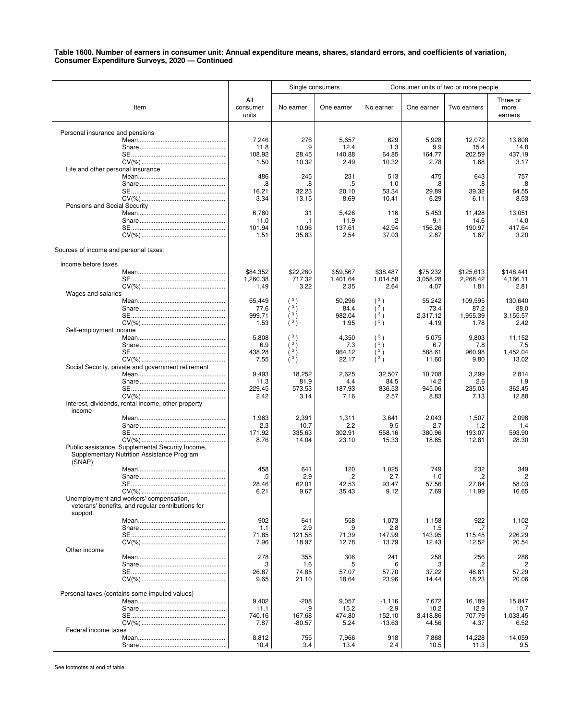|                                                                                                          |                                  | Single consumers                           |                                  | Consumer units of two or more people               |                                    |                                     |                                     |
|----------------------------------------------------------------------------------------------------------|----------------------------------|--------------------------------------------|----------------------------------|----------------------------------------------------|------------------------------------|-------------------------------------|-------------------------------------|
| Item                                                                                                     | All<br>consumer<br>units         | No earner                                  | One earner                       | No earner                                          | One earner                         | Two earners                         | Three or<br>more<br>earners         |
| Personal insurance and pensions                                                                          | 7,246<br>11.8<br>108.92<br>1.50  | 276<br>.9<br>28.45<br>10.32                | 5,657<br>12.4<br>140.88<br>2.49  | 629<br>1.3<br>64.85<br>10.32                       | 5,928<br>9.9<br>164.77<br>2.78     | 12,072<br>15.4<br>202.59<br>1.68    | 13,808<br>14.8<br>437.19<br>3.17    |
| Life and other personal insurance                                                                        | 486                              | 245                                        | 231                              | 513                                                | 475                                | 643                                 | 757                                 |
|                                                                                                          | .8<br>16.21<br>3.34              | .8<br>32.23<br>13.15                       | .5<br>20.10<br>8.69              | 1.0<br>53.34<br>10.41                              | .8<br>29.89<br>6.29                | .8<br>39.32<br>6.11                 | .8<br>64.55<br>8.53                 |
| Pensions and Social Security                                                                             | 6,760<br>11.0<br>101.94<br>1.51  | 31<br>$\cdot$ 1<br>10.96<br>35.83          | 5,426<br>11.9<br>137.61<br>2.54  | 116<br>.2<br>42.94<br>37.03                        | 5,453<br>9.1<br>156.26<br>2.87     | 11,428<br>14.6<br>190.97<br>1.67    | 13,051<br>14.0<br>417.64<br>3.20    |
| Sources of income and personal taxes:                                                                    |                                  |                                            |                                  |                                                    |                                    |                                     |                                     |
| Income before taxes                                                                                      | \$84,352<br>1,260.38             | \$22,280<br>717.32                         | \$59,567<br>1,401.64             | \$38,487<br>1,014.58                               | \$75,232<br>3,058.28               | \$125,613<br>2,268.42               | \$148.441<br>4.166.11               |
| Wages and salaries                                                                                       | 1.49                             | 3.22                                       | 2.35                             | 2.64                                               | 4.07                               | 1.81                                | 2.81                                |
| Self-employment income                                                                                   | 65,449<br>77.6<br>999.71<br>1.53 | (3)<br>(3)<br>(3)<br>$(^3)$                | 50,296<br>84.4<br>982.04<br>1.95 | (3)<br>(3)<br>$\lambda$ <sup>3</sup> )<br>(3)      | 55,242<br>73.4<br>2,317.12<br>4.19 | 109,595<br>87.2<br>1,955.39<br>1.78 | 130,640<br>88.0<br>3,155.57<br>2.42 |
|                                                                                                          | 5,808<br>6.9<br>438.28<br>7.55   | (3)<br>(3)<br>(3)<br>$\lambda$ 3 $\lambda$ | 4,350<br>7.3<br>964.12<br>22.17  | (3)<br>(3)<br>$(^{3})$<br>$\lambda$ <sup>3</sup> ) | 5,075<br>6.7<br>588.61<br>11.60    | 9,803<br>7.8<br>960.98<br>9.80      | 11,152<br>7.5<br>1,452.04<br>13.02  |
| Social Security, private and government retirement                                                       | 9,493<br>11.3<br>229.45          | 18,252<br>81.9<br>573.53                   | 2,625<br>4.4<br>187.93           | 32,507<br>84.5<br>836.53                           | 10,708<br>14.2<br>945.06           | 3,299<br>2.6<br>235.03              | 2,814<br>1.9<br>362.45              |
| Interest, dividends, rental income, other property<br>income                                             | 2.42                             | 3.14                                       | 7.16                             | 2.57                                               | 8.83                               | 7.13                                | 12.88                               |
|                                                                                                          | 1,963<br>2.3<br>171.92<br>8.76   | 2,391<br>10.7<br>335.63<br>14.04           | 1,311<br>2.2<br>302.91<br>23.10  | 3,641<br>9.5<br>558.16<br>15.33                    | 2,043<br>2.7<br>380.96<br>18.65    | 1,507<br>1.2<br>193.07<br>12.81     | 2,098<br>1.4<br>593.90<br>28.30     |
| Public assistance, Supplemental Security Income,<br>Supplementary Nutrition Assistance Program<br>(SNAP) |                                  |                                            |                                  |                                                    |                                    |                                     |                                     |
| Unemployment and workers' compensation,<br>veterans' benefits, and regular contributions for             | 458<br>$.5\,$<br>28.46<br>6.21   | 641<br>2.9<br>62.01<br>9.67                | 120<br>.2<br>42.53<br>35.43      | 1,025<br>2.7<br>93.47<br>9.12                      | 749<br>1.0<br>57.56<br>7.69        | 232<br>.2<br>27.84<br>11.99         | 349<br>.2<br>58.03<br>16.65         |
| support                                                                                                  | 902<br>1.1<br>71.85<br>7.96      | 641<br>2.9<br>121.58<br>18.97              | 558<br>.9<br>71.39<br>12.78      | 1,073<br>2.8<br>147.99<br>13.79                    | 1,158<br>1.5<br>143.95<br>12.43    | 922<br>.7<br>115.45<br>12.52        | 1,102<br>226.29<br>20.54            |
| Other income                                                                                             | 278                              | 355                                        | 306                              | 241                                                | 258                                | 256                                 | 286                                 |
|                                                                                                          | .3<br>26.87<br>9.65              | 1.6<br>74.85<br>21.10                      | .5<br>57.07<br>18.64             | .6<br>57.70<br>23.96                               | .3<br>37.22<br>14.44               | .2<br>46.61<br>18.23                | $\cdot$<br>57.29<br>20.06           |
| Personal taxes (contains some imputed values)                                                            | 9,402<br>11.1<br>740.16          | $-208$<br>-.9<br>167.68                    | 9,057<br>15.2<br>474.80          | $-1,116$<br>$-2.9$<br>152.10                       | 7,672<br>10.2<br>3,418.86          | 16,189<br>12.9<br>707.79            | 15,847<br>10.7<br>1,033.45          |
| Federal income taxes                                                                                     | 7.87<br>8,812<br>10.4            | $-80.57$<br>755<br>3.4                     | 5.24<br>7,966<br>13.4            | $-13.63$<br>918<br>2.4                             | 44.56<br>7,868<br>10.5             | 4.37<br>14,228<br>11.3              | 6.52<br>14,059<br>9.5               |